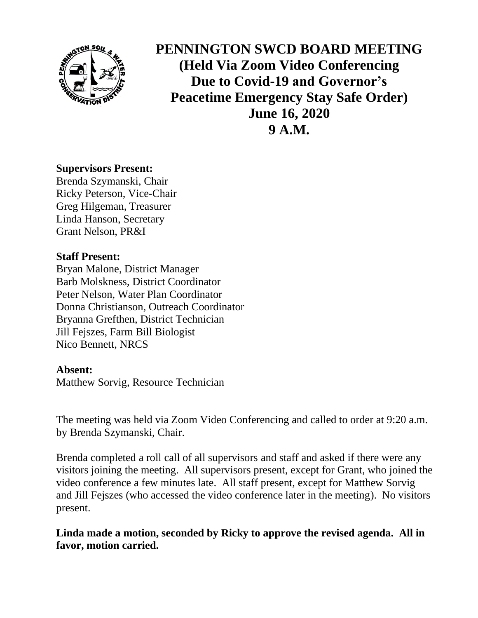

**PENNINGTON SWCD BOARD MEETING (Held Via Zoom Video Conferencing Due to Covid-19 and Governor's Peacetime Emergency Stay Safe Order) June 16, 2020 9 A.M.**

### **Supervisors Present:**

Brenda Szymanski, Chair Ricky Peterson, Vice-Chair Greg Hilgeman, Treasurer Linda Hanson, Secretary Grant Nelson, PR&I

## **Staff Present:**

Bryan Malone, District Manager Barb Molskness, District Coordinator Peter Nelson, Water Plan Coordinator Donna Christianson, Outreach Coordinator Bryanna Grefthen, District Technician Jill Fejszes, Farm Bill Biologist Nico Bennett, NRCS

## **Absent:**

Matthew Sorvig, Resource Technician

The meeting was held via Zoom Video Conferencing and called to order at 9:20 a.m. by Brenda Szymanski, Chair.

Brenda completed a roll call of all supervisors and staff and asked if there were any visitors joining the meeting. All supervisors present, except for Grant, who joined the video conference a few minutes late. All staff present, except for Matthew Sorvig and Jill Fejszes (who accessed the video conference later in the meeting). No visitors present.

**Linda made a motion, seconded by Ricky to approve the revised agenda. All in favor, motion carried.**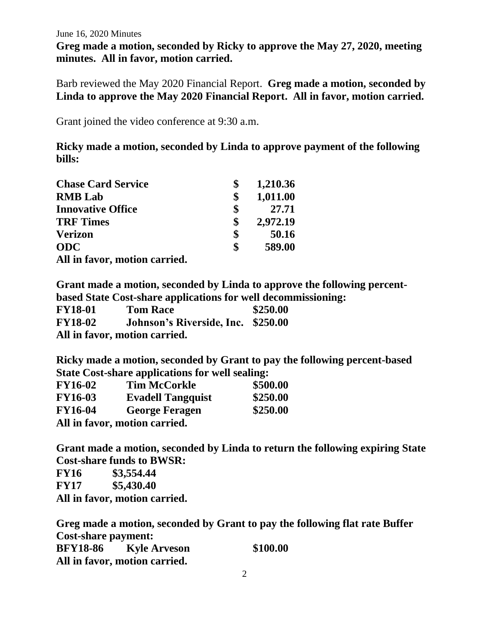**Greg made a motion, seconded by Ricky to approve the May 27, 2020, meeting minutes. All in favor, motion carried.**

Barb reviewed the May 2020 Financial Report. **Greg made a motion, seconded by Linda to approve the May 2020 Financial Report. All in favor, motion carried.**

Grant joined the video conference at 9:30 a.m.

**Ricky made a motion, seconded by Linda to approve payment of the following bills:**

| <b>Chase Card Service</b>     | 1,210.36       |
|-------------------------------|----------------|
| <b>RMB</b> Lab                | \$<br>1,011.00 |
| <b>Innovative Office</b>      | \$<br>27.71    |
| <b>TRF Times</b>              | \$<br>2,972.19 |
| <b>Verizon</b>                | \$<br>50.16    |
| <b>ODC</b>                    | \$<br>589.00   |
| All in favor, motion carried. |                |

**Grant made a motion, seconded by Linda to approve the following percentbased State Cost-share applications for well decommissioning:**

| <b>FY18-01</b> | $\sim$ 0.00 $\sim$ 0.000 $\sim$ 0.000 $\sim$ 0.000 $\sim$ 0.000 $\sim$ 0.000 $\sim$ 0.000 $\sim$ 0.000 $\sim$ 0.000 $\sim$<br><b>Tom Race</b> | \$250.00 |
|----------------|-----------------------------------------------------------------------------------------------------------------------------------------------|----------|
| <b>FY18-02</b> | Johnson's Riverside, Inc. \$250.00                                                                                                            |          |
|                | All in favor, motion carried.                                                                                                                 |          |

**Ricky made a motion, seconded by Grant to pay the following percent-based State Cost-share applications for well sealing:**

| <b>FY16-02</b> | <b>Tim McCorkle</b>           | \$500.00 |
|----------------|-------------------------------|----------|
| <b>FY16-03</b> | <b>Evadell Tangquist</b>      | \$250.00 |
| <b>FY16-04</b> | <b>George Feragen</b>         | \$250.00 |
|                | All in favor, motion carried. |          |

**Grant made a motion, seconded by Linda to return the following expiring State Cost-share funds to BWSR:**

**FY16 \$3,554.44 FY17 \$5,430.40**

**All in favor, motion carried.**

**Greg made a motion, seconded by Grant to pay the following flat rate Buffer Cost-share payment: BFY18-86 Kyle Arveson \$100.00 All in favor, motion carried.**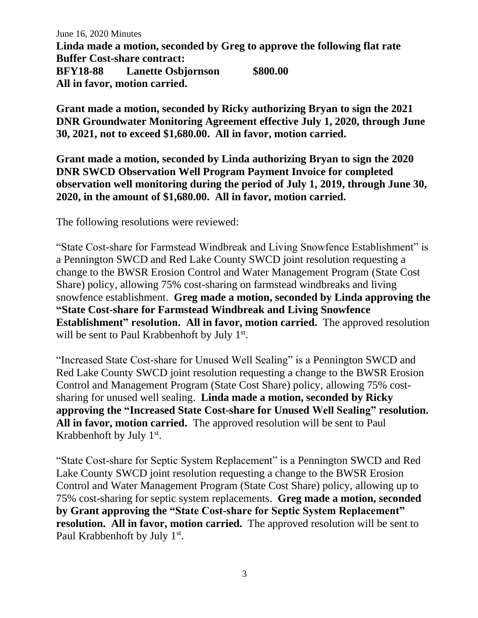**Linda made a motion, seconded by Greg to approve the following flat rate Buffer Cost-share contract: BFY18-88 Lanette Osbjornson \$800.00 All in favor, motion carried.**

**Grant made a motion, seconded by Ricky authorizing Bryan to sign the 2021 DNR Groundwater Monitoring Agreement effective July 1, 2020, through June 30, 2021, not to exceed \$1,680.00. All in favor, motion carried.**

**Grant made a motion, seconded by Linda authorizing Bryan to sign the 2020 DNR SWCD Observation Well Program Payment Invoice for completed observation well monitoring during the period of July 1, 2019, through June 30, 2020, in the amount of \$1,680.00. All in favor, motion carried.**

The following resolutions were reviewed:

"State Cost-share for Farmstead Windbreak and Living Snowfence Establishment" is a Pennington SWCD and Red Lake County SWCD joint resolution requesting a change to the BWSR Erosion Control and Water Management Program (State Cost Share) policy, allowing 75% cost-sharing on farmstead windbreaks and living snowfence establishment. **Greg made a motion, seconded by Linda approving the "State Cost-share for Farmstead Windbreak and Living Snowfence Establishment**" resolution. All in favor, motion carried. The approved resolution will be sent to Paul Krabbenhoft by July 1<sup>st</sup>.

"Increased State Cost-share for Unused Well Sealing" is a Pennington SWCD and Red Lake County SWCD joint resolution requesting a change to the BWSR Erosion Control and Management Program (State Cost Share) policy, allowing 75% costsharing for unused well sealing. **Linda made a motion, seconded by Ricky approving the "Increased State Cost-share for Unused Well Sealing" resolution. All in favor, motion carried.** The approved resolution will be sent to Paul Krabbenhoft by July 1<sup>st</sup>.

"State Cost-share for Septic System Replacement" is a Pennington SWCD and Red Lake County SWCD joint resolution requesting a change to the BWSR Erosion Control and Water Management Program (State Cost Share) policy, allowing up to 75% cost-sharing for septic system replacements. **Greg made a motion, seconded by Grant approving the "State Cost-share for Septic System Replacement" resolution. All in favor, motion carried.** The approved resolution will be sent to Paul Krabbenhoft by July 1<sup>st</sup>.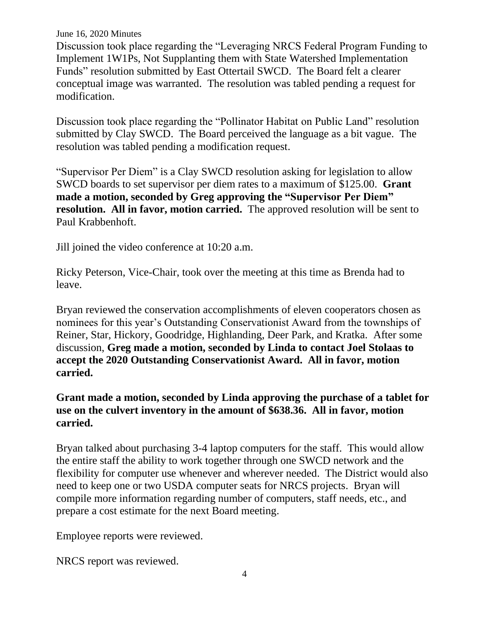Discussion took place regarding the "Leveraging NRCS Federal Program Funding to Implement 1W1Ps, Not Supplanting them with State Watershed Implementation Funds" resolution submitted by East Ottertail SWCD. The Board felt a clearer conceptual image was warranted. The resolution was tabled pending a request for modification.

Discussion took place regarding the "Pollinator Habitat on Public Land" resolution submitted by Clay SWCD. The Board perceived the language as a bit vague. The resolution was tabled pending a modification request.

"Supervisor Per Diem" is a Clay SWCD resolution asking for legislation to allow SWCD boards to set supervisor per diem rates to a maximum of \$125.00. **Grant made a motion, seconded by Greg approving the "Supervisor Per Diem" resolution. All in favor, motion carried.** The approved resolution will be sent to Paul Krabbenhoft.

Jill joined the video conference at 10:20 a.m.

Ricky Peterson, Vice-Chair, took over the meeting at this time as Brenda had to leave.

Bryan reviewed the conservation accomplishments of eleven cooperators chosen as nominees for this year's Outstanding Conservationist Award from the townships of Reiner, Star, Hickory, Goodridge, Highlanding, Deer Park, and Kratka. After some discussion, **Greg made a motion, seconded by Linda to contact Joel Stolaas to accept the 2020 Outstanding Conservationist Award. All in favor, motion carried.**

# **Grant made a motion, seconded by Linda approving the purchase of a tablet for use on the culvert inventory in the amount of \$638.36. All in favor, motion carried.**

Bryan talked about purchasing 3-4 laptop computers for the staff. This would allow the entire staff the ability to work together through one SWCD network and the flexibility for computer use whenever and wherever needed. The District would also need to keep one or two USDA computer seats for NRCS projects. Bryan will compile more information regarding number of computers, staff needs, etc., and prepare a cost estimate for the next Board meeting.

Employee reports were reviewed.

NRCS report was reviewed.